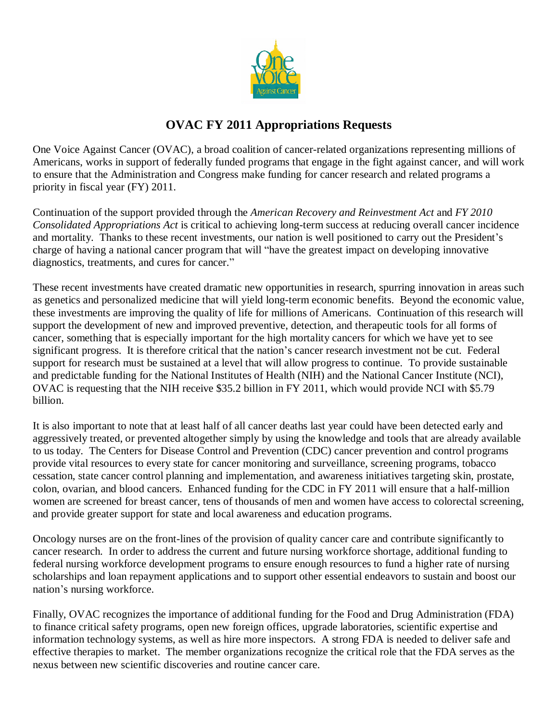

# **OVAC FY 2011 Appropriations Requests**

One Voice Against Cancer (OVAC), a broad coalition of cancer-related organizations representing millions of Americans, works in support of federally funded programs that engage in the fight against cancer, and will work to ensure that the Administration and Congress make funding for cancer research and related programs a priority in fiscal year (FY) 2011.

Continuation of the support provided through the *American Recovery and Reinvestment Act* and *FY 2010 Consolidated Appropriations Act* is critical to achieving long-term success at reducing overall cancer incidence and mortality. Thanks to these recent investments, our nation is well positioned to carry out the President's charge of having a national cancer program that will "have the greatest impact on developing innovative diagnostics, treatments, and cures for cancer."

These recent investments have created dramatic new opportunities in research, spurring innovation in areas such as genetics and personalized medicine that will yield long-term economic benefits. Beyond the economic value, these investments are improving the quality of life for millions of Americans. Continuation of this research will support the development of new and improved preventive, detection, and therapeutic tools for all forms of cancer, something that is especially important for the high mortality cancers for which we have yet to see significant progress. It is therefore critical that the nation's cancer research investment not be cut. Federal support for research must be sustained at a level that will allow progress to continue. To provide sustainable and predictable funding for the National Institutes of Health (NIH) and the National Cancer Institute (NCI), OVAC is requesting that the NIH receive \$35.2 billion in FY 2011, which would provide NCI with \$5.79 billion.

It is also important to note that at least half of all cancer deaths last year could have been detected early and aggressively treated, or prevented altogether simply by using the knowledge and tools that are already available to us today. The Centers for Disease Control and Prevention (CDC) cancer prevention and control programs provide vital resources to every state for cancer monitoring and surveillance, screening programs, tobacco cessation, state cancer control planning and implementation, and awareness initiatives targeting skin, prostate, colon, ovarian, and blood cancers. Enhanced funding for the CDC in FY 2011 will ensure that a half-million women are screened for breast cancer, tens of thousands of men and women have access to colorectal screening, and provide greater support for state and local awareness and education programs.

Oncology nurses are on the front-lines of the provision of quality cancer care and contribute significantly to cancer research. In order to address the current and future nursing workforce shortage, additional funding to federal nursing workforce development programs to ensure enough resources to fund a higher rate of nursing scholarships and loan repayment applications and to support other essential endeavors to sustain and boost our nation's nursing workforce.

Finally, OVAC recognizes the importance of additional funding for the Food and Drug Administration (FDA) to finance critical safety programs, open new foreign offices, upgrade laboratories, scientific expertise and information technology systems, as well as hire more inspectors. A strong FDA is needed to deliver safe and effective therapies to market. The member organizations recognize the critical role that the FDA serves as the nexus between new scientific discoveries and routine cancer care.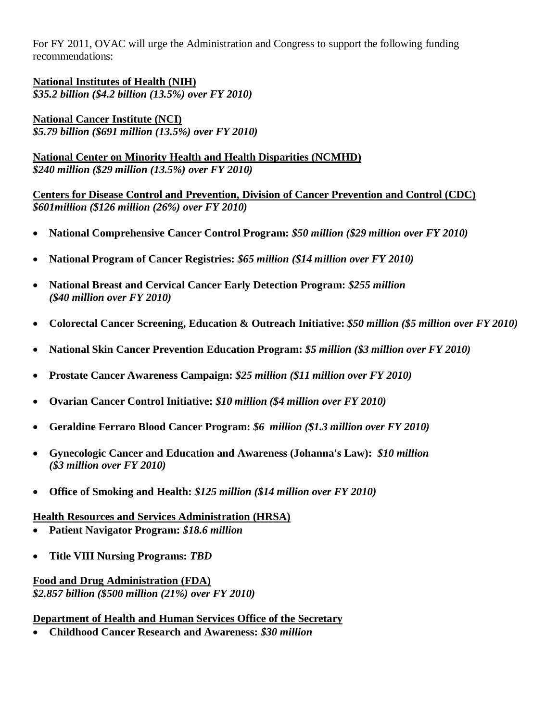For FY 2011, OVAC will urge the Administration and Congress to support the following funding recommendations:

**National Institutes of Health (NIH)** *\$35.2 billion (\$4.2 billion (13.5%) over FY 2010)*

**National Cancer Institute (NCI)** *\$5.79 billion (\$691 million (13.5%) over FY 2010)*

**National Center on Minority Health and Health Disparities (NCMHD)** *\$240 million (\$29 million (13.5%) over FY 2010)*

**Centers for Disease Control and Prevention, Division of Cancer Prevention and Control (CDC)** *\$601million (\$126 million (26%) over FY 2010)*

- **National Comprehensive Cancer Control Program:** *\$50 million (\$29 million over FY 2010)*
- **National Program of Cancer Registries:** *\$65 million (\$14 million over FY 2010)*
- **National Breast and Cervical Cancer Early Detection Program:** *\$255 million (\$40 million over FY 2010)*
- **Colorectal Cancer Screening, Education & Outreach Initiative:** *\$50 million (\$5 million over FY 2010)*
- **National Skin Cancer Prevention Education Program:** *\$5 million (\$3 million over FY 2010)*
- **Prostate Cancer Awareness Campaign:** *\$25 million (\$11 million over FY 2010)*
- **Ovarian Cancer Control Initiative:** *\$10 million (\$4 million over FY 2010)*
- **Geraldine Ferraro Blood Cancer Program:** *\$6 million (\$1.3 million over FY 2010)*
- **Gynecologic Cancer and Education and Awareness (Johanna's Law):** *\$10 million (\$3 million over FY 2010)*
- **Office of Smoking and Health:** *\$125 million (\$14 million over FY 2010)*

#### **Health Resources and Services Administration (HRSA)**

- **Patient Navigator Program:** *\$18.6 million*
- **Title VIII Nursing Programs:** *TBD*

### **Food and Drug Administration (FDA)** *\$2.857 billion (\$500 million (21%) over FY 2010)*

### **Department of Health and Human Services Office of the Secretary**

**Childhood Cancer Research and Awareness:** *\$30 million*